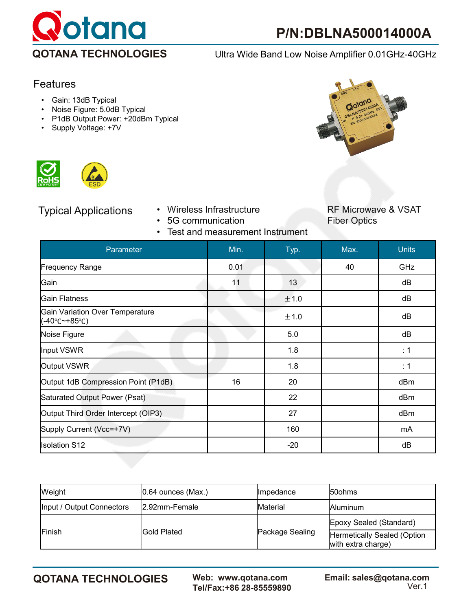

# Features

- Gain: 13dB Typical
- Noise Figure: 5.0dB Typical
- P1dB Output Power: +20dBm Typical
- Supply Voltage: +7V





- 5G communication
- Test and measurement Instrument



Typical Applications • Wireless Infrastructure RF Microwave & VSAT<br>• 5G communication • Fiber Optics

| Parameter                                                                  | Min. | Typ.  | Max. | <b>Units</b> |
|----------------------------------------------------------------------------|------|-------|------|--------------|
| <b>Frequency Range</b>                                                     | 0.01 |       | 40   | GHz          |
| Gain                                                                       | 11   | 13    |      | dB           |
| Gain Flatness                                                              |      | ±1.0  |      | dB           |
| <b>Gain Variation Over Temperature</b><br>$(-40^{\circ}C^{-}+85^{\circ}C)$ |      | ±1.0  |      | dB           |
| Noise Figure                                                               |      | 5.0   |      | dB           |
| Input VSWR                                                                 |      | 1.8   |      | : 1          |
| Output VSWR                                                                |      | 1.8   |      | : 1          |
| Output 1dB Compression Point (P1dB)                                        | 16   | 20    |      | dBm          |
| Saturated Output Power (Psat)                                              |      | 22    |      | dBm          |
| Output Third Order Intercept (OIP3)                                        |      | 27    |      | dBm          |
| Supply Current (Vcc=+7V)                                                   |      | 160   |      | mA           |
| <b>Isolation S12</b>                                                       |      | $-20$ |      | dB           |

| Weight                    | $[0.64$ ounces (Max.) | <b>Ilmpedance</b> | <b>50ohms</b>                                     |
|---------------------------|-----------------------|-------------------|---------------------------------------------------|
| Input / Output Connectors | 2.92mm-Female         | Material          | <b>Aluminum</b>                                   |
| Finish                    | lGold Plated          | Package Sealing   | Epoxy Sealed (Standard)                           |
|                           |                       |                   | Hermetically Sealed (Option<br>with extra charge) |

**QOTANA TECHNOLOGIES Web: www.qotana.com Email: sales@qotana.com**  Tel/Fax:+86 28-85559890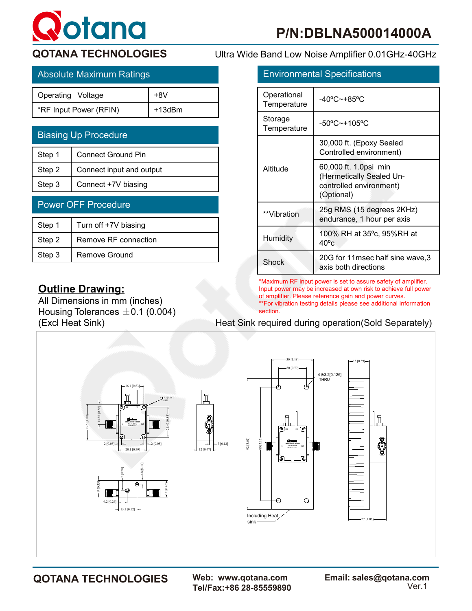# **otana**

| Ultra Wide Band Low Noise Amplifier 0.01GHz-40GHz |
|---------------------------------------------------|
|                                                   |

| Absolute Maximum Ratings |        |  |             | <b>Environmental Specifications</b> |
|--------------------------|--------|--|-------------|-------------------------------------|
| Operating Voltage        | $+8V$  |  | Operational | -40°C~+85°C                         |
| *RF Input Power (RFIN)   | +13dBm |  | Temperature |                                     |

| <b>Biasing Up Procedure</b> |                           |  |
|-----------------------------|---------------------------|--|
| Step 1                      | <b>Connect Ground Pin</b> |  |
| Step 2                      | Connect input and output  |  |
| Step 3                      | Connect +7V biasing       |  |
| <b>Power OFF Procedure</b>  |                           |  |
|                             |                           |  |

| Step 1 | Turn off +7V biasing |
|--------|----------------------|
| Step 2 | Remove RF connection |
| Step 3 | Remove Ground        |

# **Outline Drawing:**

All Dimensions in mm (inches) Housing Tolerances  $\pm 0.1$  (0.004)

| <b>Environmental Specifications</b> |                                                                                            |  |
|-------------------------------------|--------------------------------------------------------------------------------------------|--|
| Operational<br>Temperature          | $-40^{\circ}$ C $\sim$ +85°C                                                               |  |
| Storage<br>Temperature              | $-50^{\circ}$ C~+105°C                                                                     |  |
| Altitude                            | 30,000 ft. (Epoxy Sealed<br>Controlled environment)                                        |  |
|                                     | 60,000 ft. 1.0psi min<br>(Hermetically Sealed Un-<br>controlled environment)<br>(Optional) |  |
| **Vibration                         | 25g RMS (15 degrees 2KHz)<br>endurance, 1 hour per axis                                    |  |
| Humidity                            | 100% RH at 35°c, 95%RH at<br>$40^{\circ}$ c                                                |  |
| Shock                               | 20G for 11msec half sine wave, 3<br>axis both directions                                   |  |

\*Maximum RF input power is set to assure safety of amplifier. Input power may be increased at own risk to achieve full power of amplifier. Please reference gain and power curves. \*\*For vibration testing details please see additional information section.

# (Excl Heat Sink) Heat Sink required during operation(Sold Separately)



Tel/Fax:+86 28-85559890

**QOTANA TECHNOLOGIES Web: www.qotana.com Email: sales@qotana.com**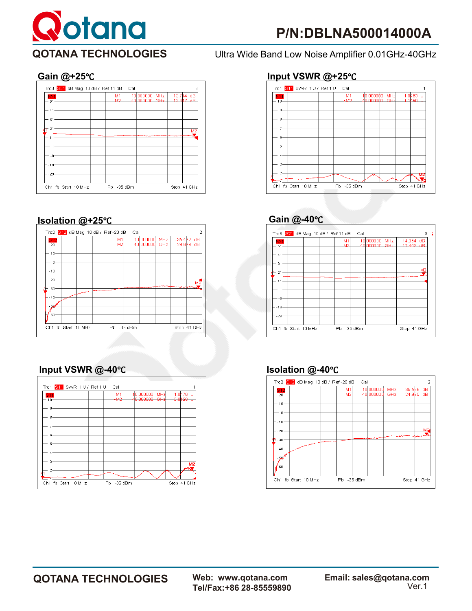



# **Isolation @+25**℃ **Gain @-40**℃



# **Input VSWR @-40**℃ **Isolation @-40**℃









# **QOTANA TECHNOLOGIES Web: www.qotana.com Email: sales@qotana.com**

Tel/Fax:+86 28-85559890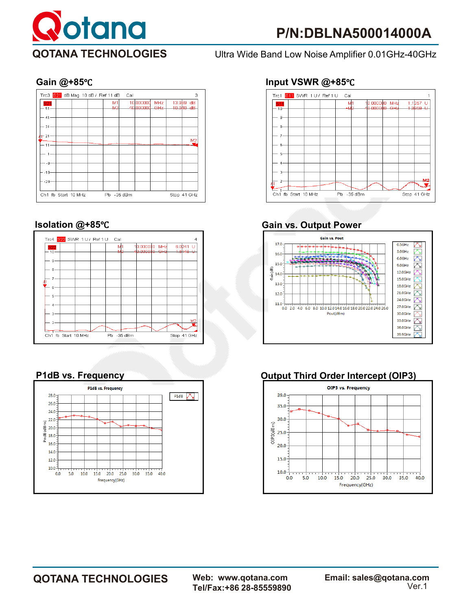







# **Gain @+85**℃ **Input VSWR @+85**℃



# **Isolation @+85**℃ **Gain vs. Output Power**



## **P1dB vs. Frequency COUNTING COUP3) Output Third Order Intercept (OIP3)**



Tel/Fax:+86 28-85559890